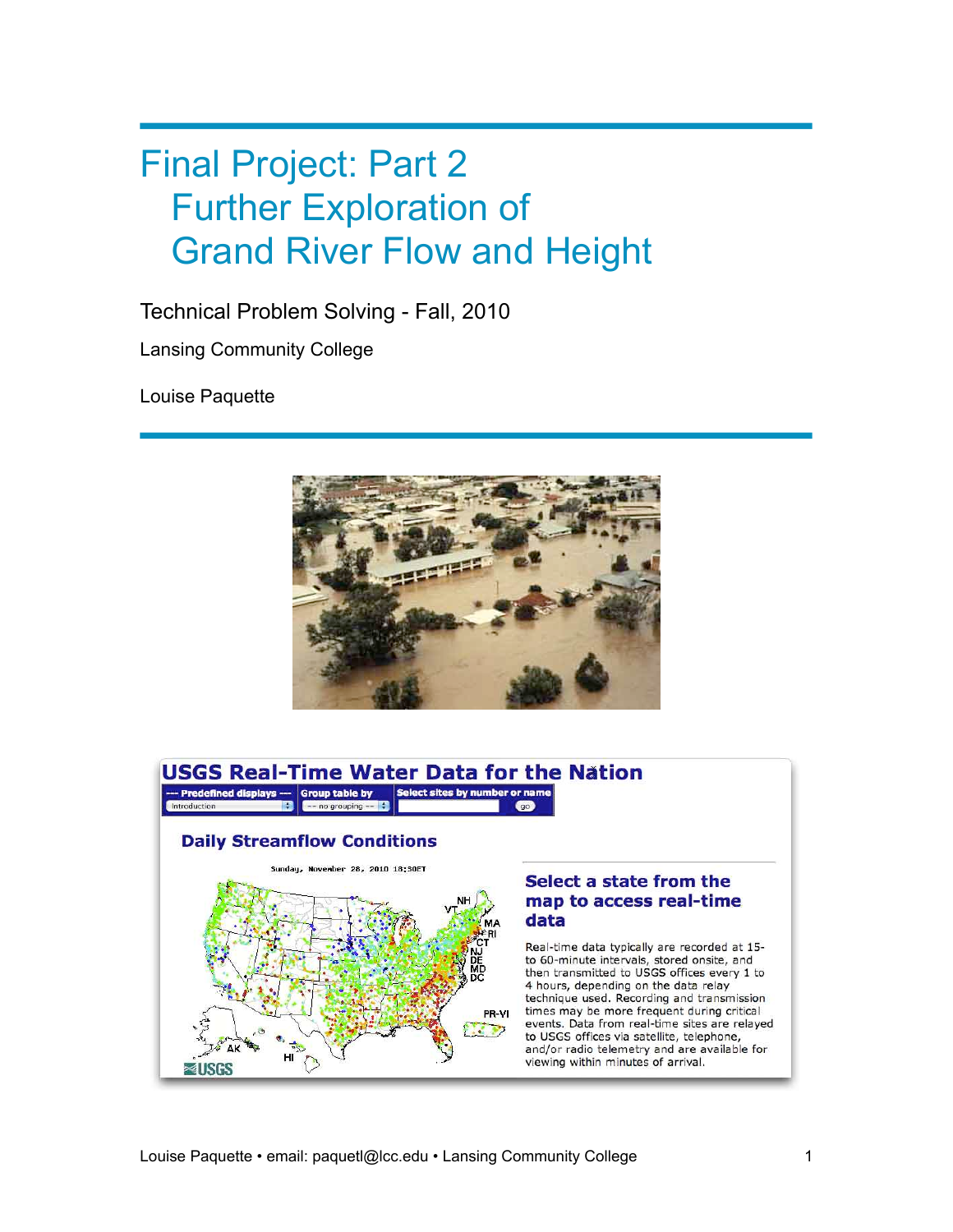# Final Project: Part 2 Further Exploration of Grand River Flow and Height

Technical Problem Solving - Fall, 2010

Lansing Community College

Louise Paquette



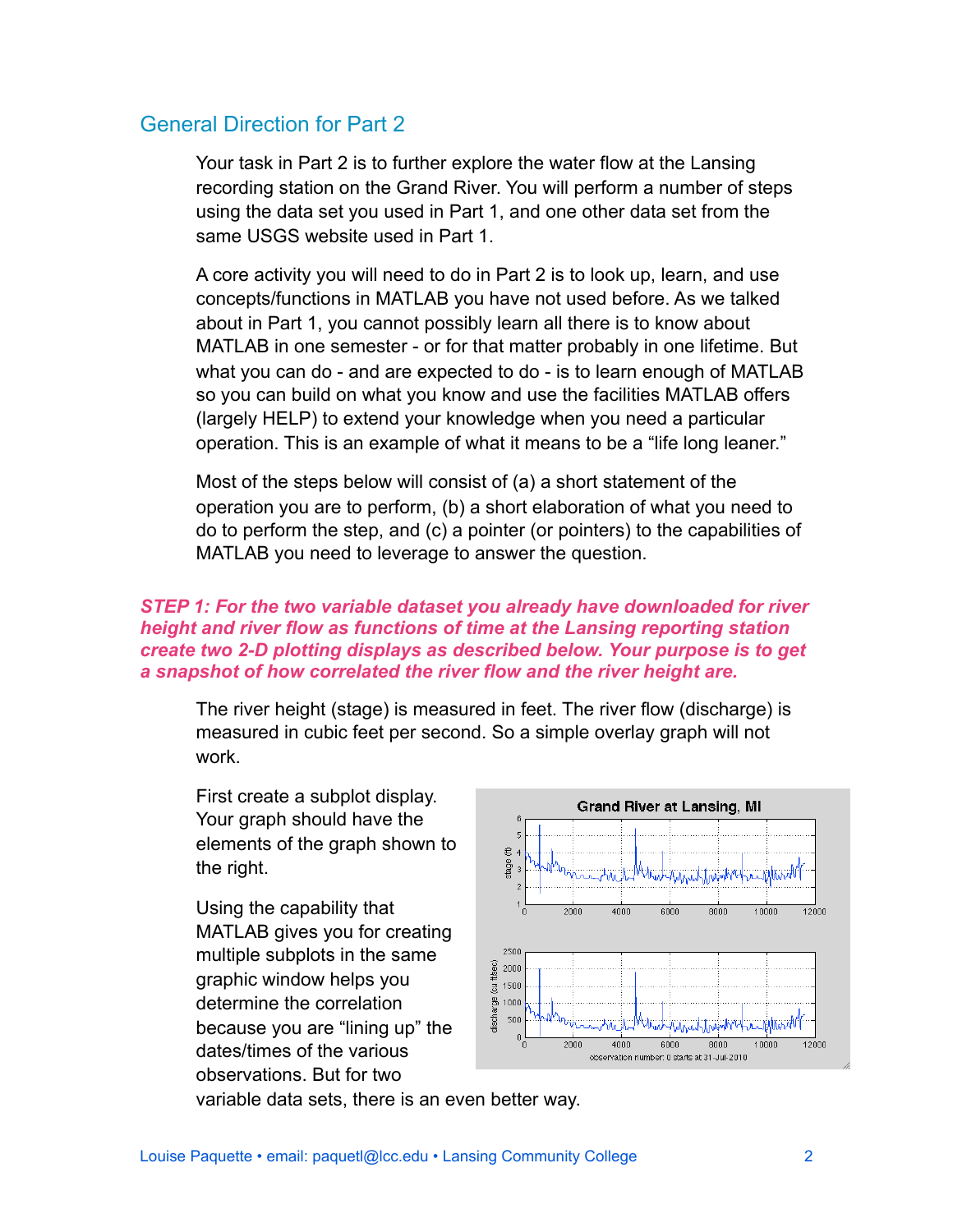## General Direction for Part 2

Your task in Part 2 is to further explore the water flow at the Lansing recording station on the Grand River. You will perform a number of steps using the data set you used in Part 1, and one other data set from the same USGS website used in Part 1.

A core activity you will need to do in Part 2 is to look up, learn, and use concepts/functions in MATLAB you have not used before. As we talked about in Part 1, you cannot possibly learn all there is to know about MATLAB in one semester - or for that matter probably in one lifetime. But what you can do - and are expected to do - is to learn enough of MATLAB so you can build on what you know and use the facilities MATLAB offers (largely HELP) to extend your knowledge when you need a particular operation. This is an example of what it means to be a "life long leaner."

Most of the steps below will consist of (a) a short statement of the operation you are to perform, (b) a short elaboration of what you need to do to perform the step, and (c) a pointer (or pointers) to the capabilities of MATLAB you need to leverage to answer the question.

## *STEP 1: For the two variable dataset you already have downloaded for river height and river flow as functions of time at the Lansing reporting station create two 2-D plotting displays as described below. Your purpose is to get a snapshot of how correlated the river flow and the river height are.*

The river height (stage) is measured in feet. The river flow (discharge) is measured in cubic feet per second. So a simple overlay graph will not work.

First create a subplot display. Your graph should have the elements of the graph shown to the right.

Using the capability that MATLAB gives you for creating multiple subplots in the same graphic window helps you determine the correlation because you are "lining up" the dates/times of the various observations. But for two



variable data sets, there is an even better way.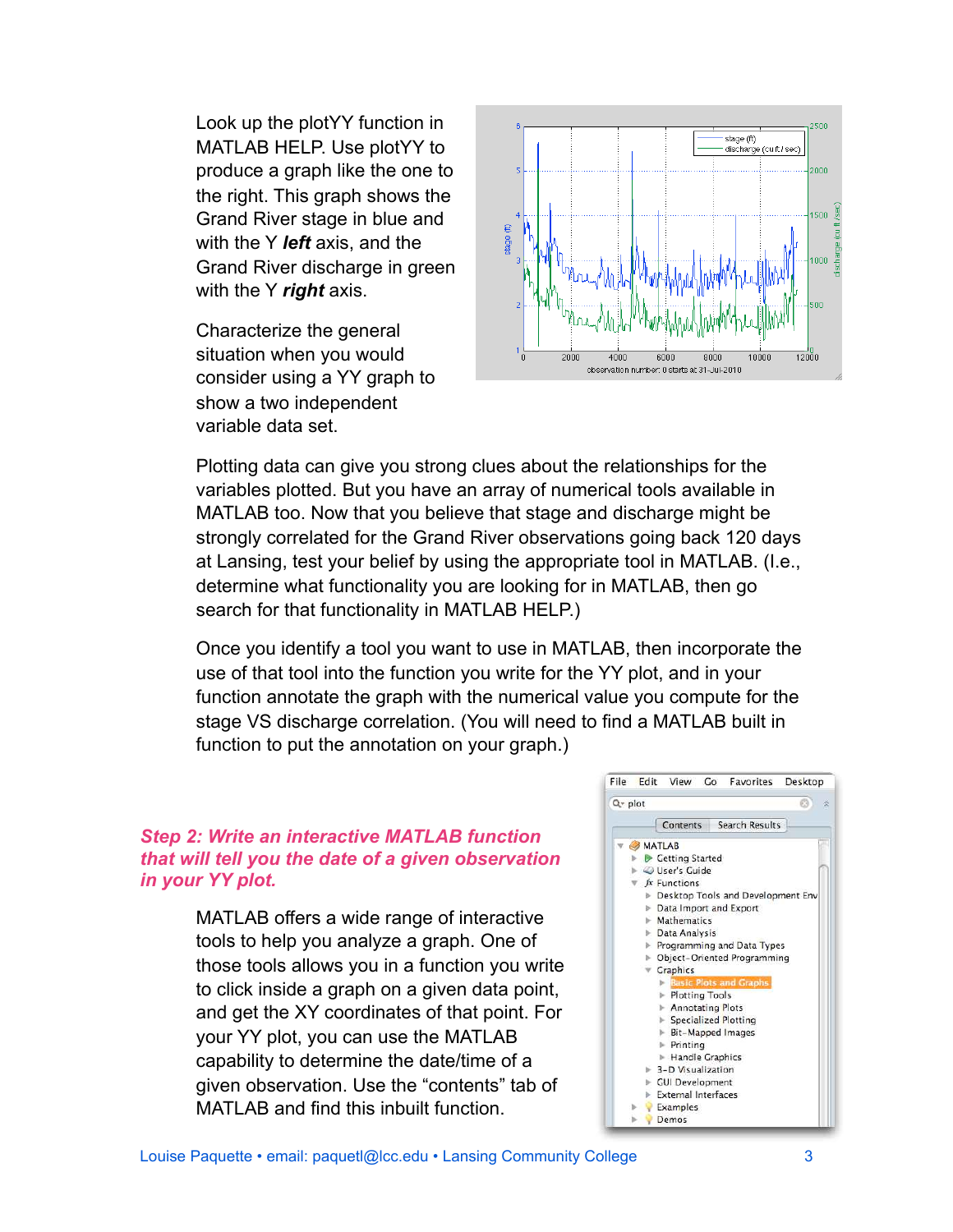Look up the plotYY function in MATLAB HELP. Use plotYY to produce a graph like the one to the right. This graph shows the Grand River stage in blue and with the Y *left* axis, and the Grand River discharge in green with the Y *right* axis.

Characterize the general situation when you would consider using a YY graph to show a two independent variable data set.



Plotting data can give you strong clues about the relationships for the variables plotted. But you have an array of numerical tools available in MATLAB too. Now that you believe that stage and discharge might be strongly correlated for the Grand River observations going back 120 days at Lansing, test your belief by using the appropriate tool in MATLAB. (I.e., determine what functionality you are looking for in MATLAB, then go search for that functionality in MATLAB HELP.)

Once you identify a tool you want to use in MATLAB, then incorporate the use of that tool into the function you write for the YY plot, and in your function annotate the graph with the numerical value you compute for the stage VS discharge correlation. (You will need to find a MATLAB built in function to put the annotation on your graph.)

## *Step 2: Write an interactive MATLAB function that will tell you the date of a given observation in your YY plot.*

MATLAB offers a wide range of interactive tools to help you analyze a graph. One of those tools allows you in a function you write to click inside a graph on a given data point, and get the XY coordinates of that point. For your YY plot, you can use the MATLAB capability to determine the date/time of a given observation. Use the "contents" tab of MATLAB and find this inbuilt function.

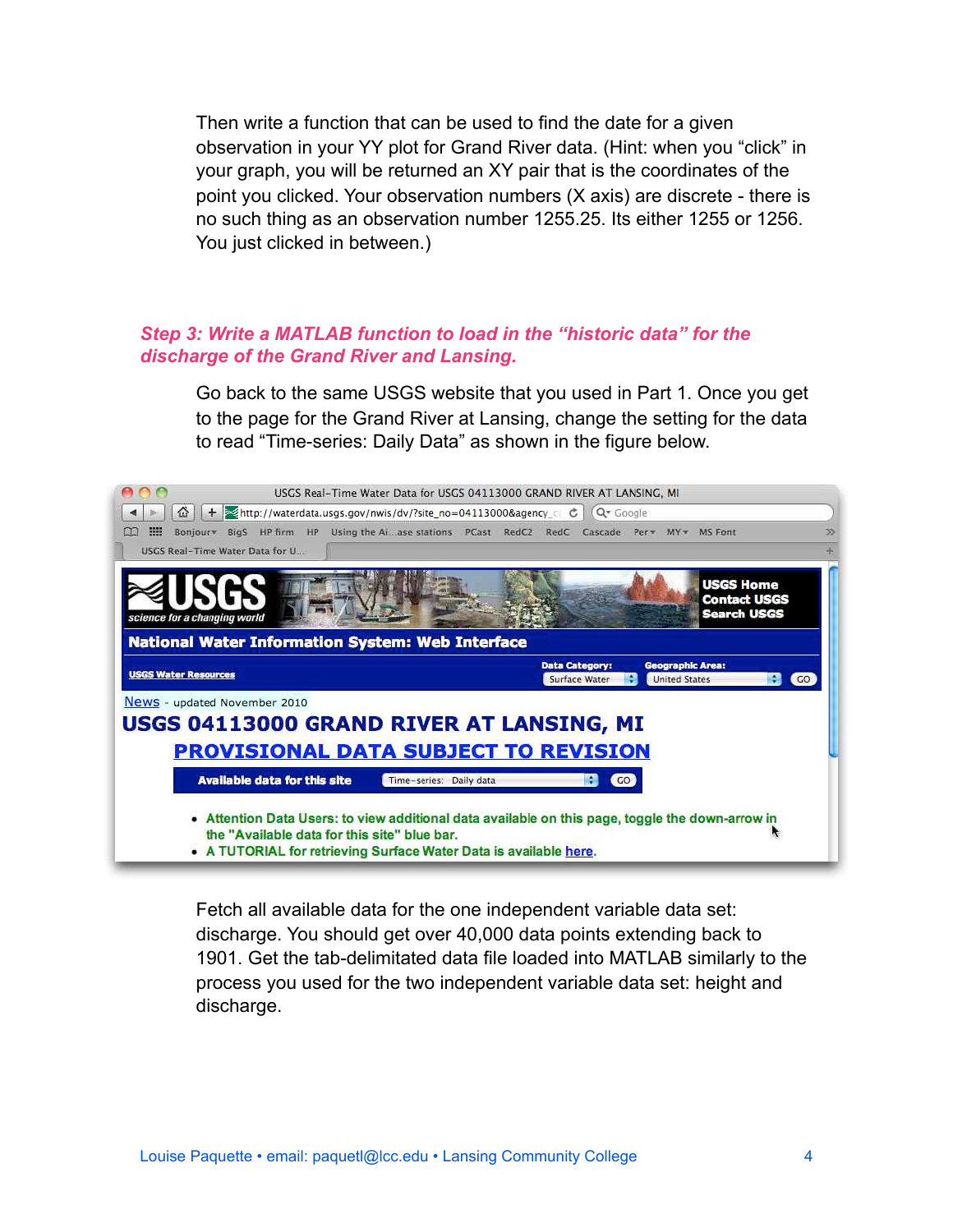Then write a function that can be used to find the date for a given observation in your YY plot for Grand River data. (Hint: when you "click" in your graph, you will be returned an XY pair that is the coordinates of the point you clicked. Your observation numbers (X axis) are discrete - there is no such thing as an observation number 1255.25. Its either 1255 or 1256. You just clicked in between.)

## *Step 3: Write a MATLAB function to load in the "historic data" for the discharge of the Grand River and Lansing.*

Go back to the same USGS website that you used in Part 1. Once you get to the page for the Grand River at Lansing, change the setting for the data to read "Time-series: Daily Data" as shown in the figure below.



Fetch all available data for the one independent variable data set: discharge. You should get over 40,000 data points extending back to 1901. Get the tab-delimitated data file loaded into MATLAB similarly to the process you used for the two independent variable data set: height and discharge.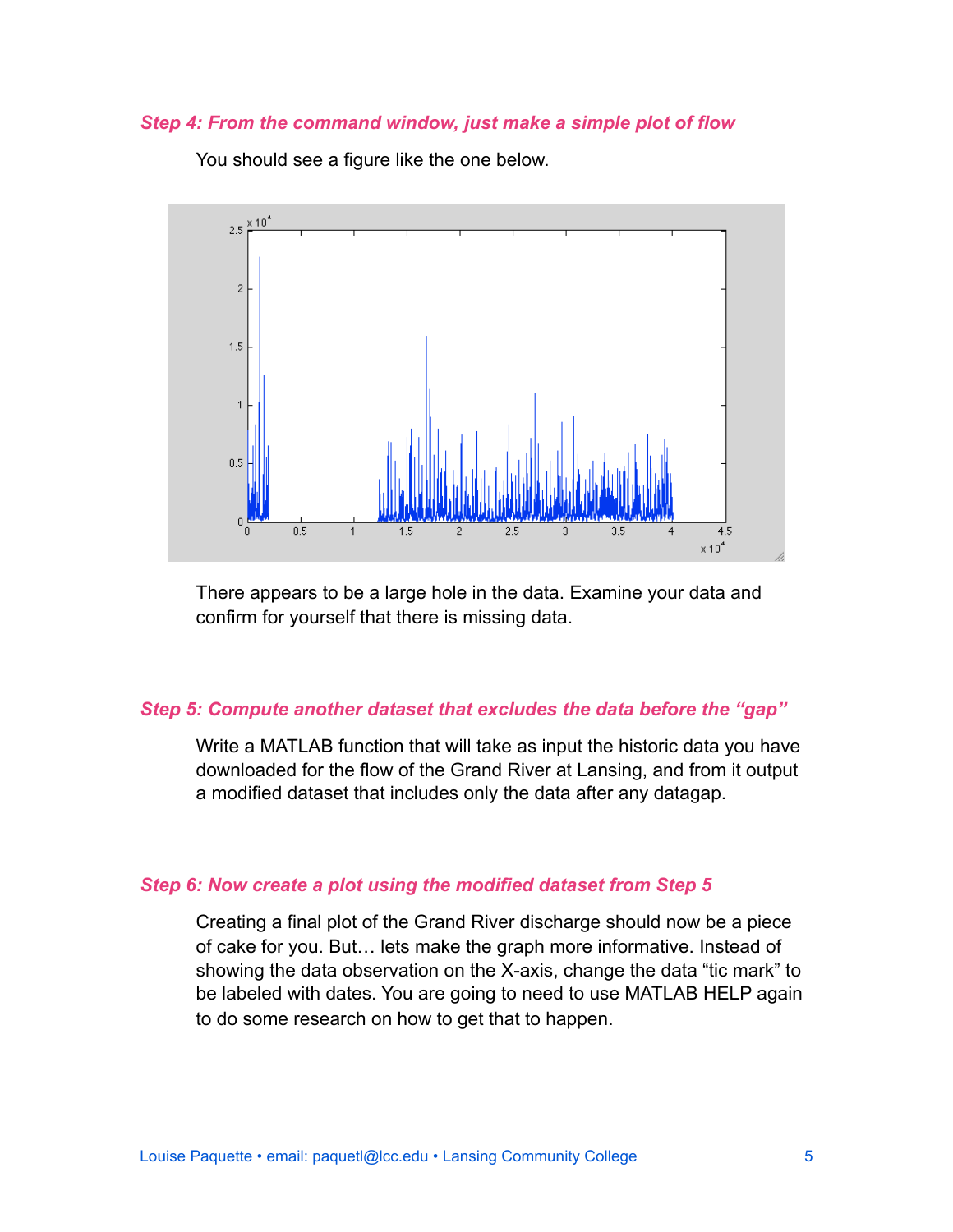#### *Step 4: From the command window, just make a simple plot of flow*



You should see a figure like the one below.

There appears to be a large hole in the data. Examine your data and confirm for yourself that there is missing data.

#### *Step 5: Compute another dataset that excludes the data before the "gap"*

Write a MATLAB function that will take as input the historic data you have downloaded for the flow of the Grand River at Lansing, and from it output a modified dataset that includes only the data after any datagap.

#### *Step 6: Now create a plot using the modified dataset from Step 5*

Creating a final plot of the Grand River discharge should now be a piece of cake for you. But… lets make the graph more informative. Instead of showing the data observation on the X-axis, change the data "tic mark" to be labeled with dates. You are going to need to use MATLAB HELP again to do some research on how to get that to happen.